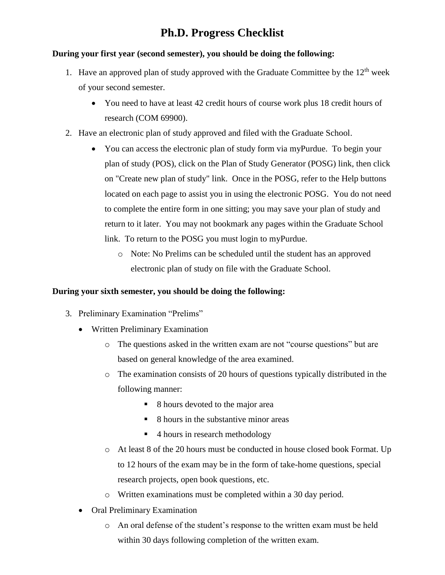# **Ph.D. Progress Checklist**

## **During your first year (second semester), you should be doing the following:**

- 1. Have an approved plan of study approved with the Graduate Committee by the  $12<sup>th</sup>$  week of your second semester.
	- You need to have at least 42 credit hours of course work plus 18 credit hours of research (COM 69900).
- 2. Have an electronic plan of study approved and filed with the Graduate School.
	- You can access the electronic plan of study form via myPurdue. To begin your plan of study (POS), click on the Plan of Study Generator (POSG) link, then click on "Create new plan of study" link. Once in the POSG, refer to the Help buttons located on each page to assist you in using the electronic POSG. You do not need to complete the entire form in one sitting; you may save your plan of study and return to it later. You may not bookmark any pages within the Graduate School link. To return to the POSG you must login to myPurdue.
		- o Note: No Prelims can be scheduled until the student has an approved electronic plan of study on file with the Graduate School.

## **During your sixth semester, you should be doing the following:**

- 3. Preliminary Examination "Prelims"
	- Written Preliminary Examination
		- o The questions asked in the written exam are not "course questions" but are based on general knowledge of the area examined.
		- o The examination consists of 20 hours of questions typically distributed in the following manner:
			- 8 hours devoted to the major area
			- 8 hours in the substantive minor areas
			- 4 hours in research methodology
		- o At least 8 of the 20 hours must be conducted in house closed book Format. Up to 12 hours of the exam may be in the form of take-home questions, special research projects, open book questions, etc.
		- o Written examinations must be completed within a 30 day period.
	- Oral Preliminary Examination
		- o An oral defense of the student's response to the written exam must be held within 30 days following completion of the written exam.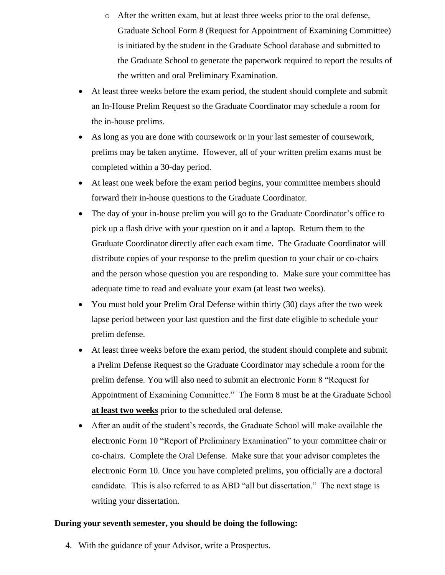- o After the written exam, but at least three weeks prior to the oral defense, Graduate School Form 8 (Request for Appointment of Examining Committee) is initiated by the student in the Graduate School database and submitted to the Graduate School to generate the paperwork required to report the results of the written and oral Preliminary Examination.
- At least three weeks before the exam period, the student should complete and submit an In-House Prelim Request so the Graduate Coordinator may schedule a room for the in-house prelims.
- As long as you are done with coursework or in your last semester of coursework, prelims may be taken anytime. However, all of your written prelim exams must be completed within a 30-day period.
- At least one week before the exam period begins, your committee members should forward their in-house questions to the Graduate Coordinator.
- The day of your in-house prelim you will go to the Graduate Coordinator's office to pick up a flash drive with your question on it and a laptop. Return them to the Graduate Coordinator directly after each exam time. The Graduate Coordinator will distribute copies of your response to the prelim question to your chair or co-chairs and the person whose question you are responding to. Make sure your committee has adequate time to read and evaluate your exam (at least two weeks).
- You must hold your Prelim Oral Defense within thirty (30) days after the two week lapse period between your last question and the first date eligible to schedule your prelim defense.
- At least three weeks before the exam period, the student should complete and submit a Prelim Defense Request so the Graduate Coordinator may schedule a room for the prelim defense. You will also need to submit an electronic Form 8 "Request for Appointment of Examining Committee." The Form 8 must be at the Graduate School **at least two weeks** prior to the scheduled oral defense.
- After an audit of the student's records, the Graduate School will make available the electronic Form 10 "Report of Preliminary Examination" to your committee chair or co-chairs. Complete the Oral Defense. Make sure that your advisor completes the electronic Form 10. Once you have completed prelims, you officially are a doctoral candidate. This is also referred to as ABD "all but dissertation." The next stage is writing your dissertation.

### **During your seventh semester, you should be doing the following:**

4. With the guidance of your Advisor, write a Prospectus.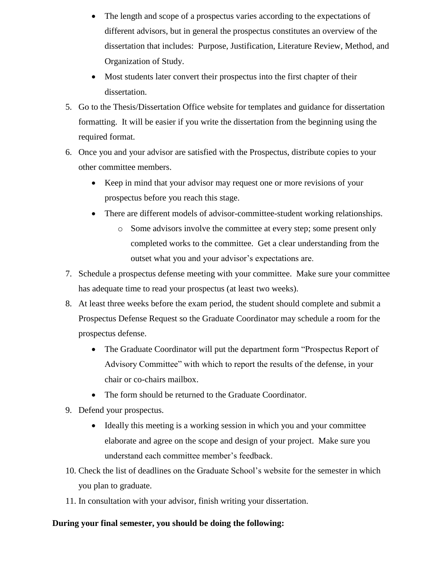- The length and scope of a prospectus varies according to the expectations of different advisors, but in general the prospectus constitutes an overview of the dissertation that includes: Purpose, Justification, Literature Review, Method, and Organization of Study.
- Most students later convert their prospectus into the first chapter of their dissertation.
- 5. Go to the Thesis/Dissertation Office website for templates and guidance for dissertation formatting. It will be easier if you write the dissertation from the beginning using the required format.
- 6. Once you and your advisor are satisfied with the Prospectus, distribute copies to your other committee members.
	- Keep in mind that your advisor may request one or more revisions of your prospectus before you reach this stage.
	- There are different models of advisor-committee-student working relationships.
		- o Some advisors involve the committee at every step; some present only completed works to the committee. Get a clear understanding from the outset what you and your advisor's expectations are.
- 7. Schedule a prospectus defense meeting with your committee. Make sure your committee has adequate time to read your prospectus (at least two weeks).
- 8. At least three weeks before the exam period, the student should complete and submit a Prospectus Defense Request so the Graduate Coordinator may schedule a room for the prospectus defense.
	- The Graduate Coordinator will put the department form "Prospectus Report of Advisory Committee" with which to report the results of the defense, in your chair or co-chairs mailbox.
	- The form should be returned to the Graduate Coordinator.
- 9. Defend your prospectus.
	- Ideally this meeting is a working session in which you and your committee elaborate and agree on the scope and design of your project. Make sure you understand each committee member's feedback.
- 10. Check the list of deadlines on the Graduate School's website for the semester in which you plan to graduate.
- 11. In consultation with your advisor, finish writing your dissertation.

## **During your final semester, you should be doing the following:**